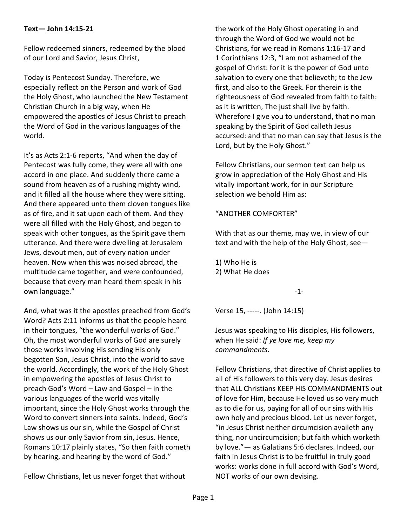## **Text— John 14:15-21**

Fellow redeemed sinners, redeemed by the blood of our Lord and Savior, Jesus Christ,

Today is Pentecost Sunday. Therefore, we especially reflect on the Person and work of God the Holy Ghost, who launched the New Testament Christian Church in a big way, when He empowered the apostles of Jesus Christ to preach the Word of God in the various languages of the world.

It's as Acts 2:1-6 reports, "And when the day of Pentecost was fully come, they were all with one accord in one place. And suddenly there came a sound from heaven as of a rushing mighty wind, and it filled all the house where they were sitting. And there appeared unto them cloven tongues like as of fire, and it sat upon each of them. And they were all filled with the Holy Ghost, and began to speak with other tongues, as the Spirit gave them utterance. And there were dwelling at Jerusalem Jews, devout men, out of every nation under heaven. Now when this was noised abroad, the multitude came together, and were confounded, because that every man heard them speak in his own language."

And, what was it the apostles preached from God's Word? Acts 2:11 informs us that the people heard in their tongues, "the wonderful works of God." Oh, the most wonderful works of God are surely those works involving His sending His only begotten Son, Jesus Christ, into the world to save the world. Accordingly, the work of the Holy Ghost in empowering the apostles of Jesus Christ to preach God's Word – Law and Gospel – in the various languages of the world was vitally important, since the Holy Ghost works through the Word to convert sinners into saints. Indeed, God's Law shows us our sin, while the Gospel of Christ shows us our only Savior from sin, Jesus. Hence, Romans 10:17 plainly states, "So then faith cometh by hearing, and hearing by the word of God."

Fellow Christians, let us never forget that without

the work of the Holy Ghost operating in and through the Word of God we would not be Christians, for we read in Romans 1:16-17 and 1 Corinthians 12:3, "I am not ashamed of the gospel of Christ: for it is the power of God unto salvation to every one that believeth; to the Jew first, and also to the Greek. For therein is the righteousness of God revealed from faith to faith: as it is written, The just shall live by faith. Wherefore I give you to understand, that no man speaking by the Spirit of God calleth Jesus accursed: and that no man can say that Jesus is the Lord, but by the Holy Ghost."

Fellow Christians, our sermon text can help us grow in appreciation of the Holy Ghost and His vitally important work, for in our Scripture selection we behold Him as:

## "ANOTHER COMFORTER"

With that as our theme, may we, in view of our text and with the help of the Holy Ghost, see—

1) Who He is 2) What He does

-1-

Verse 15, -----. (John 14:15)

Jesus was speaking to His disciples, His followers, when He said: *If ye love me, keep my commandments*.

Fellow Christians, that directive of Christ applies to all of His followers to this very day. Jesus desires that ALL Christians KEEP HIS COMMANDMENTS out of love for Him, because He loved us so very much as to die for us, paying for all of our sins with His own holy and precious blood. Let us never forget, "in Jesus Christ neither circumcision availeth any thing, nor uncircumcision; but faith which worketh by love."— as Galatians 5:6 declares. Indeed, our faith in Jesus Christ is to be fruitful in truly good works: works done in full accord with God's Word, NOT works of our own devising.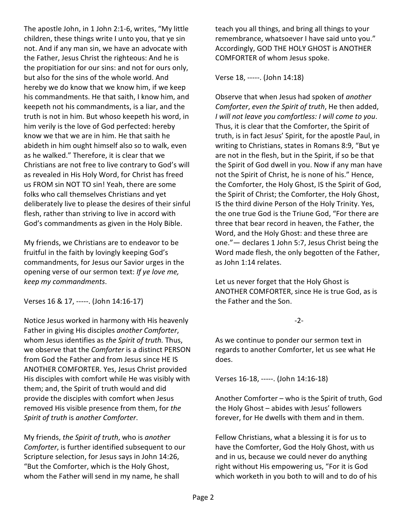The apostle John, in 1 John 2:1-6, writes, "My little children, these things write I unto you, that ye sin not. And if any man sin, we have an advocate with the Father, Jesus Christ the righteous: And he is the propitiation for our sins: and not for ours only, but also for the sins of the whole world. And hereby we do know that we know him, if we keep his commandments. He that saith, I know him, and keepeth not his commandments, is a liar, and the truth is not in him. But whoso keepeth his word, in him verily is the love of God perfected: hereby know we that we are in him. He that saith he abideth in him ought himself also so to walk, even as he walked." Therefore, it is clear that we Christians are not free to live contrary to God's will as revealed in His Holy Word, for Christ has freed us FROM sin NOT TO sin! Yeah, there are some folks who call themselves Christians and yet deliberately live to please the desires of their sinful flesh, rather than striving to live in accord with God's commandments as given in the Holy Bible.

My friends, we Christians are to endeavor to be fruitful in the faith by lovingly keeping God's commandments, for Jesus our Savior urges in the opening verse of our sermon text: *If ye love me, keep my commandments*.

Verses 16 & 17, -----. (John 14:16-17)

Notice Jesus worked in harmony with His heavenly Father in giving His disciples *another Comforter*, whom Jesus identifies as *the Spirit of truth.* Thus, we observe that the *Comforter* is a distinct PERSON from God the Father and from Jesus since HE IS ANOTHER COMFORTER. Yes, Jesus Christ provided His disciples with comfort while He was visibly with them; and, the Spirit of truth would and did provide the disciples with comfort when Jesus removed His visible presence from them, for *the Spirit of truth* is *another Comforter*.

My friends, *the Spirit of truth*, who is *another Comforter*, is further identified subsequent to our Scripture selection, for Jesus says in John 14:26, "But the Comforter, which is the Holy Ghost, whom the Father will send in my name, he shall

teach you all things, and bring all things to your remembrance, whatsoever I have said unto you." Accordingly, GOD THE HOLY GHOST is ANOTHER COMFORTER of whom Jesus spoke.

Verse 18, -----. (John 14:18)

Observe that when Jesus had spoken of *another Comforter*, *even the Spirit of truth*, He then added, *I will not leave you comfortless: I will come to you*. Thus, it is clear that the Comforter, the Spirit of truth, is in fact Jesus' Spirit, for the apostle Paul, in writing to Christians, states in Romans 8:9, "But ye are not in the flesh, but in the Spirit, if so be that the Spirit of God dwell in you. Now if any man have not the Spirit of Christ, he is none of his." Hence, the Comforter, the Holy Ghost, IS the Spirit of God, the Spirit of Christ; the Comforter, the Holy Ghost, IS the third divine Person of the Holy Trinity. Yes, the one true God is the Triune God, "For there are three that bear record in heaven, the Father, the Word, and the Holy Ghost: and these three are one."— declares 1 John 5:7, Jesus Christ being the Word made flesh, the only begotten of the Father, as John 1:14 relates.

Let us never forget that the Holy Ghost is ANOTHER COMFORTER, since He is true God, as is the Father and the Son.

## -2-

As we continue to ponder our sermon text in regards to another Comforter, let us see what He does.

Verses 16-18, -----. (John 14:16-18)

Another Comforter – who is the Spirit of truth, God the Holy Ghost – abides with Jesus' followers forever, for He dwells with them and in them.

Fellow Christians, what a blessing it is for us to have the Comforter, God the Holy Ghost, with us and in us, because we could never do anything right without His empowering us, "For it is God which worketh in you both to will and to do of his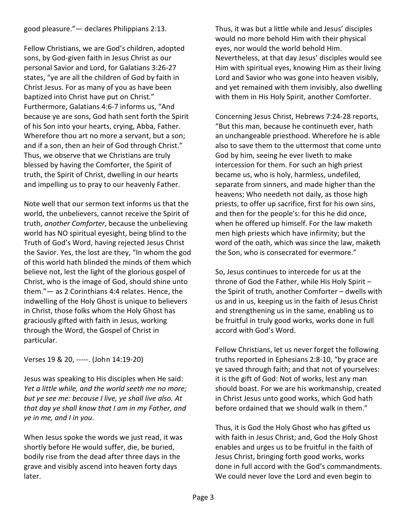good pleasure."— declares Philippians 2:13.

Fellow Christians, we are God's children, adopted sons, by God-given faith in Jesus Christ as our personal Savior and Lord, for Galatians 3:26-27 states, "ye are all the children of God by faith in Christ Jesus. For as many of you as have been baptized into Christ have put on Christ." Furthermore, Galatians 4:6-7 informs us, "And because ye are sons, God hath sent forth the Spirit of his Son into your hearts, crying, Abba, Father. Wherefore thou art no more a servant, but a son; and if a son, then an heir of God through Christ." Thus, we observe that we Christians are truly blessed by having the Comforter, the Spirit of truth, the Spirit of Christ, dwelling in our hearts and impelling us to pray to our heavenly Father.

Note well that our sermon text informs us that the world, the unbelievers, cannot receive the Spirit of truth, *another Comforter*, because the unbelieving world has NO spiritual eyesight, being blind to the Truth of God's Word, having rejected Jesus Christ the Savior. Yes, the lost are they, "In whom the god of this world hath blinded the minds of them which believe not, lest the light of the glorious gospel of Christ, who is the image of God, should shine unto them."— as 2 Corinthians 4:4 relates. Hence, the indwelling of the Holy Ghost is unique to believers in Christ, those folks whom the Holy Ghost has graciously gifted with faith in Jesus, working through the Word, the Gospel of Christ in particular.

Verses 19 & 20, -----. (John 14:19-20)

Jesus was speaking to His disciples when He said: *Yet a little while, and the world seeth me no more; but ye see me: because I live, ye shall live also. At that day ye shall know that I am in my Father, and ye in me, and I in you*.

When Jesus spoke the words we just read, it was shortly before He would suffer, die, be buried, bodily rise from the dead after three days in the grave and visibly ascend into heaven forty days later.

Thus, it was but a little while and Jesus' disciples would no more behold Him with their physical eyes, nor would the world behold Him. Nevertheless, at that day Jesus' disciples would see Him with spiritual eyes, knowing Him as their living Lord and Savior who was gone into heaven visibly, and yet remained with them invisibly, also dwelling with them in His Holy Spirit, another Comforter.

Concerning Jesus Christ, Hebrews 7:24-28 reports, "But this man, because he continueth ever, hath an unchangeable priesthood. Wherefore he is able also to save them to the uttermost that come unto God by him, seeing he ever liveth to make intercession for them. For such an high priest became us, who is holy, harmless, undefiled, separate from sinners, and made higher than the heavens; Who needeth not daily, as those high priests, to offer up sacrifice, first for his own sins, and then for the people's: for this he did once, when he offered up himself. For the law maketh men high priests which have infirmity; but the word of the oath, which was since the law, maketh the Son, who is consecrated for evermore."

So, Jesus continues to intercede for us at the throne of God the Father, while His Holy Spirit – the Spirit of truth, another Comforter – dwells with us and in us, keeping us in the faith of Jesus Christ and strengthening us in the same, enabling us to be fruitful in truly good works, works done in full accord with God's Word.

Fellow Christians, let us never forget the following truths reported in Ephesians 2:8-10, "by grace are ye saved through faith; and that not of yourselves: it is the gift of God: Not of works, lest any man should boast. For we are his workmanship, created in Christ Jesus unto good works, which God hath before ordained that we should walk in them."

Thus, it is God the Holy Ghost who has gifted us with faith in Jesus Christ; and, God the Holy Ghost enables and urges us to be fruitful in the faith of Jesus Christ, bringing forth good works, works done in full accord with the God's commandments. We could never love the Lord and even begin to